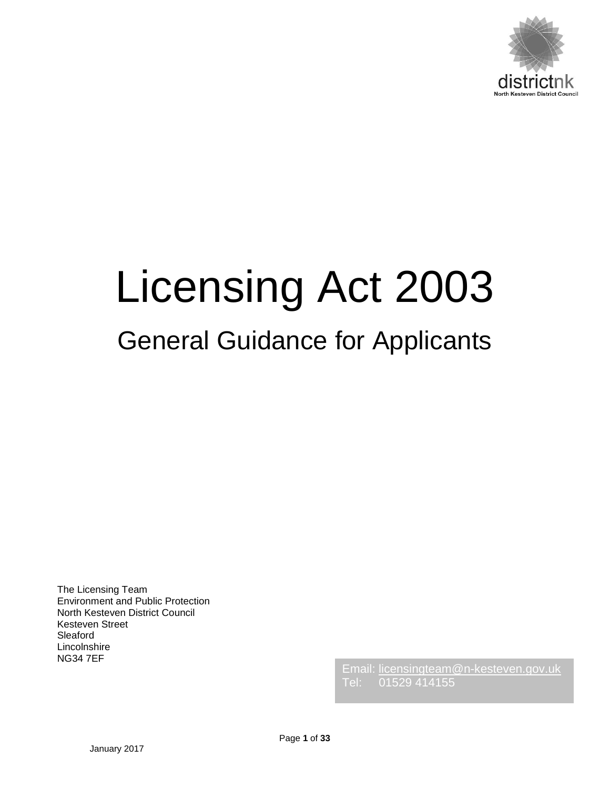

# Licensing Act 2003

# General Guidance for Applicants

The Licensing Team Environment and Public Protection North Kesteven District Council Kesteven Street Sleaford Lincolnshire NG34 7EF

Email: [licensingteam@n-kesteven.gov.uk](mailto:licensingteam@n-kesteven.gov.uk) Tel: 01529 414155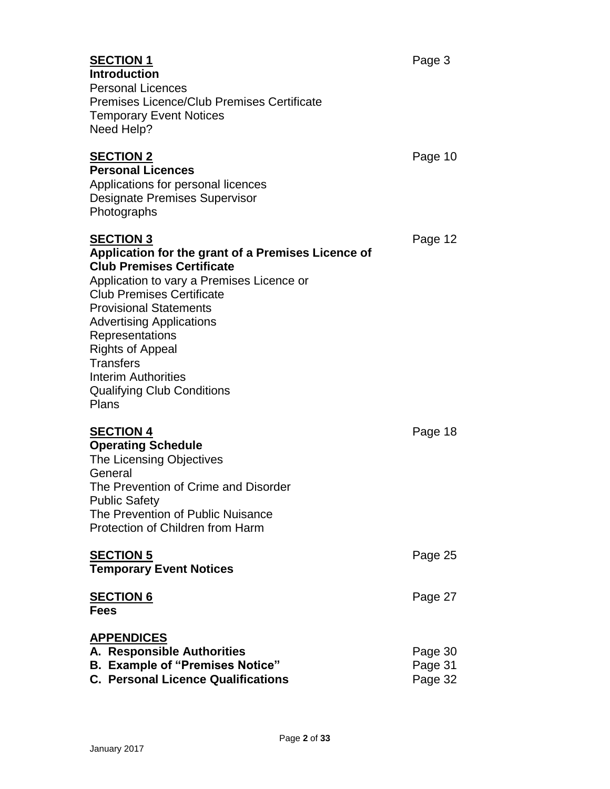**Introduction** Personal Licences

| <b>Premises Licence/Club Premises Certificate</b><br><b>Temporary Event Notices</b><br>Need Help?                                                                                                                                                                                                                                                                                                             |                               |
|---------------------------------------------------------------------------------------------------------------------------------------------------------------------------------------------------------------------------------------------------------------------------------------------------------------------------------------------------------------------------------------------------------------|-------------------------------|
| <b>SECTION 2</b><br><b>Personal Licences</b><br>Applications for personal licences<br><b>Designate Premises Supervisor</b><br>Photographs                                                                                                                                                                                                                                                                     | Page 10                       |
| <b>SECTION 3</b><br>Application for the grant of a Premises Licence of<br><b>Club Premises Certificate</b><br>Application to vary a Premises Licence or<br><b>Club Premises Certificate</b><br><b>Provisional Statements</b><br><b>Advertising Applications</b><br>Representations<br><b>Rights of Appeal</b><br><b>Transfers</b><br><b>Interim Authorities</b><br><b>Qualifying Club Conditions</b><br>Plans | Page 12                       |
| <b>SECTION 4</b><br><b>Operating Schedule</b><br>The Licensing Objectives<br>General<br>The Prevention of Crime and Disorder<br><b>Public Safety</b><br>The Prevention of Public Nuisance<br>Protection of Children from Harm                                                                                                                                                                                 | Page 18                       |
| <b>SECTION 5</b><br><b>Temporary Event Notices</b>                                                                                                                                                                                                                                                                                                                                                            | Page 25                       |
| <b>SECTION 6</b><br><b>Fees</b>                                                                                                                                                                                                                                                                                                                                                                               | Page 27                       |
| <b>APPENDICES</b><br>A. Responsible Authorities<br><b>B. Example of "Premises Notice"</b><br><b>C. Personal Licence Qualifications</b>                                                                                                                                                                                                                                                                        | Page 30<br>Page 31<br>Page 32 |
|                                                                                                                                                                                                                                                                                                                                                                                                               |                               |

Page **2** of **33**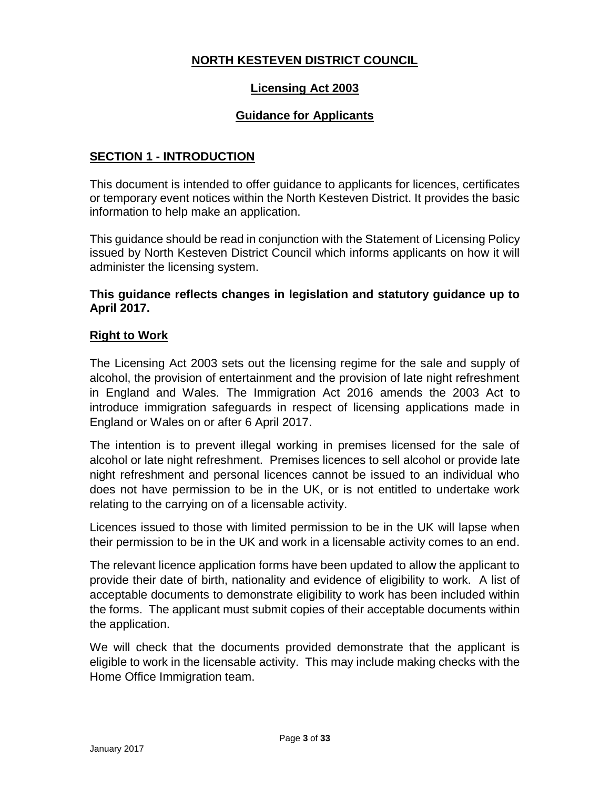#### **NORTH KESTEVEN DISTRICT COUNCIL**

#### **Licensing Act 2003**

#### **Guidance for Applicants**

#### **SECTION 1 - INTRODUCTION**

This document is intended to offer guidance to applicants for licences, certificates or temporary event notices within the North Kesteven District. It provides the basic information to help make an application.

This guidance should be read in conjunction with the Statement of Licensing Policy issued by North Kesteven District Council which informs applicants on how it will administer the licensing system.

**This guidance reflects changes in legislation and statutory guidance up to April 2017.**

#### **Right to Work**

The Licensing Act 2003 sets out the licensing regime for the sale and supply of alcohol, the provision of entertainment and the provision of late night refreshment in England and Wales. The Immigration Act 2016 amends the 2003 Act to introduce immigration safeguards in respect of licensing applications made in England or Wales on or after 6 April 2017.

The intention is to prevent illegal working in premises licensed for the sale of alcohol or late night refreshment. Premises licences to sell alcohol or provide late night refreshment and personal licences cannot be issued to an individual who does not have permission to be in the UK, or is not entitled to undertake work relating to the carrying on of a licensable activity.

Licences issued to those with limited permission to be in the UK will lapse when their permission to be in the UK and work in a licensable activity comes to an end.

The relevant licence application forms have been updated to allow the applicant to provide their date of birth, nationality and evidence of eligibility to work. A list of acceptable documents to demonstrate eligibility to work has been included within the forms. The applicant must submit copies of their acceptable documents within the application.

We will check that the documents provided demonstrate that the applicant is eligible to work in the licensable activity. This may include making checks with the Home Office Immigration team.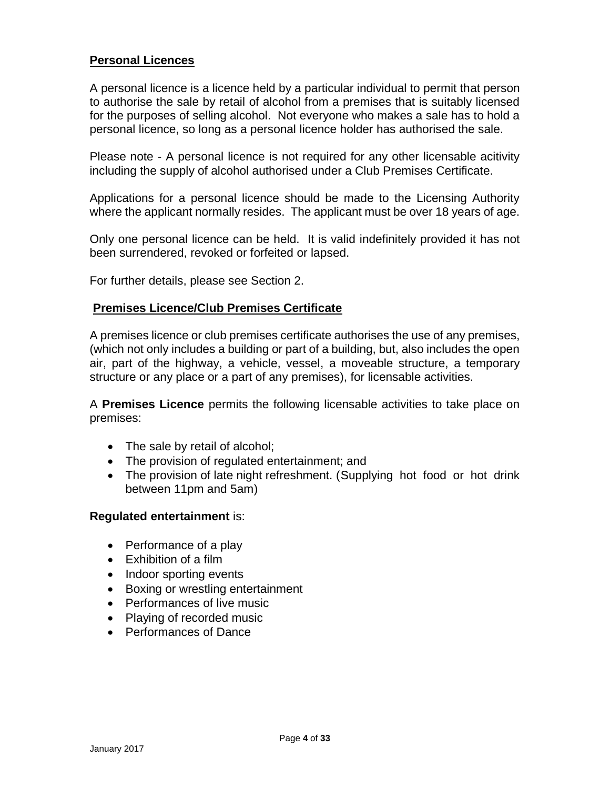#### **Personal Licences**

A personal licence is a licence held by a particular individual to permit that person to authorise the sale by retail of alcohol from a premises that is suitably licensed for the purposes of selling alcohol. Not everyone who makes a sale has to hold a personal licence, so long as a personal licence holder has authorised the sale.

Please note - A personal licence is not required for any other licensable acitivity including the supply of alcohol authorised under a Club Premises Certificate.

Applications for a personal licence should be made to the Licensing Authority where the applicant normally resides. The applicant must be over 18 years of age.

Only one personal licence can be held. It is valid indefinitely provided it has not been surrendered, revoked or forfeited or lapsed.

For further details, please see Section 2.

#### **Premises Licence/Club Premises Certificate**

A premises licence or club premises certificate authorises the use of any premises, (which not only includes a building or part of a building, but, also includes the open air, part of the highway, a vehicle, vessel, a moveable structure, a temporary structure or any place or a part of any premises), for licensable activities.

A **Premises Licence** permits the following licensable activities to take place on premises:

- The sale by retail of alcohol;
- The provision of regulated entertainment; and
- The provision of late night refreshment. (Supplying hot food or hot drink between 11pm and 5am)

#### **Regulated entertainment** is:

- Performance of a play
- Exhibition of a film
- Indoor sporting events
- Boxing or wrestling entertainment
- Performances of live music
- Playing of recorded music
- Performances of Dance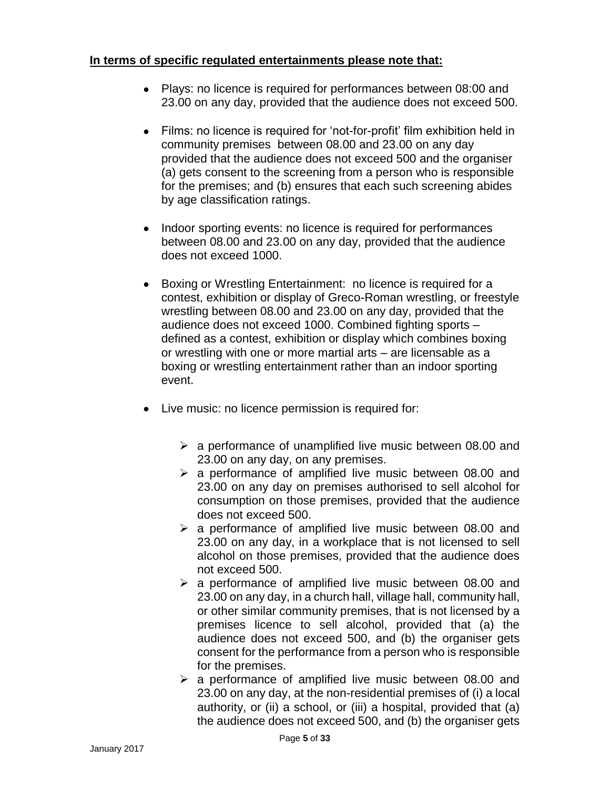#### **In terms of specific regulated entertainments please note that:**

- Plays: no licence is required for performances between 08:00 and 23.00 on any day, provided that the audience does not exceed 500.
- Films: no licence is required for 'not-for-profit' film exhibition held in community premises between 08.00 and 23.00 on any day provided that the audience does not exceed 500 and the organiser (a) gets consent to the screening from a person who is responsible for the premises; and (b) ensures that each such screening abides by age classification ratings.
- Indoor sporting events: no licence is required for performances between 08.00 and 23.00 on any day, provided that the audience does not exceed 1000.
- Boxing or Wrestling Entertainment: no licence is required for a contest, exhibition or display of Greco-Roman wrestling, or freestyle wrestling between 08.00 and 23.00 on any day, provided that the audience does not exceed 1000. Combined fighting sports – defined as a contest, exhibition or display which combines boxing or wrestling with one or more martial arts – are licensable as a boxing or wrestling entertainment rather than an indoor sporting event.
- Live music: no licence permission is required for:
	- $\geq$  a performance of unamplified live music between 08.00 and 23.00 on any day, on any premises.
	- $\geq$  a performance of amplified live music between 08.00 and 23.00 on any day on premises authorised to sell alcohol for consumption on those premises, provided that the audience does not exceed 500.
	- $\geq$  a performance of amplified live music between 08.00 and 23.00 on any day, in a workplace that is not licensed to sell alcohol on those premises, provided that the audience does not exceed 500.
	- $\geq$  a performance of amplified live music between 08.00 and 23.00 on any day, in a church hall, village hall, community hall, or other similar community premises, that is not licensed by a premises licence to sell alcohol, provided that (a) the audience does not exceed 500, and (b) the organiser gets consent for the performance from a person who is responsible for the premises.
	- $\triangleright$  a performance of amplified live music between 08.00 and 23.00 on any day, at the non-residential premises of (i) a local authority, or (ii) a school, or (iii) a hospital, provided that (a) the audience does not exceed 500, and (b) the organiser gets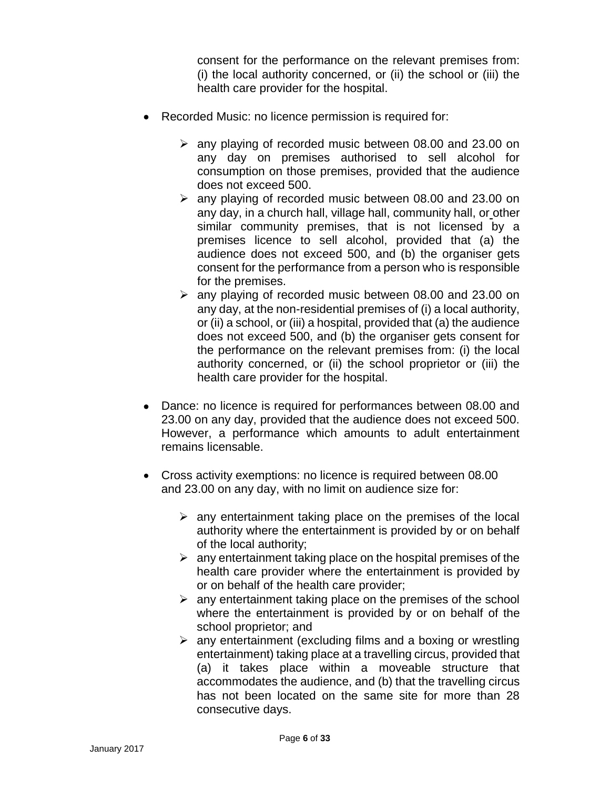consent for the performance on the relevant premises from: (i) the local authority concerned, or (ii) the school or (iii) the health care provider for the hospital.

- Recorded Music: no licence permission is required for:
	- $\geq$  any playing of recorded music between 08.00 and 23.00 on any day on premises authorised to sell alcohol for consumption on those premises, provided that the audience does not exceed 500.
	- $\geq$  any playing of recorded music between 08.00 and 23.00 on any day, in a church hall, village hall, community hall, or other similar community premises, that is not licensed by a premises licence to sell alcohol, provided that (a) the audience does not exceed 500, and (b) the organiser gets consent for the performance from a person who is responsible for the premises.
	- $\geq$  any playing of recorded music between 08.00 and 23.00 on any day, at the non-residential premises of (i) a local authority, or (ii) a school, or (iii) a hospital, provided that (a) the audience does not exceed 500, and (b) the organiser gets consent for the performance on the relevant premises from: (i) the local authority concerned, or (ii) the school proprietor or (iii) the health care provider for the hospital.
- Dance: no licence is required for performances between 08.00 and 23.00 on any day, provided that the audience does not exceed 500. However, a performance which amounts to adult entertainment remains licensable.
- Cross activity exemptions: no licence is required between 08.00 and 23.00 on any day, with no limit on audience size for:
	- $\triangleright$  any entertainment taking place on the premises of the local authority where the entertainment is provided by or on behalf of the local authority;
	- $\triangleright$  any entertainment taking place on the hospital premises of the health care provider where the entertainment is provided by or on behalf of the health care provider;
	- $\triangleright$  any entertainment taking place on the premises of the school where the entertainment is provided by or on behalf of the school proprietor; and
	- $\triangleright$  any entertainment (excluding films and a boxing or wrestling entertainment) taking place at a travelling circus, provided that (a) it takes place within a moveable structure that accommodates the audience, and (b) that the travelling circus has not been located on the same site for more than 28 consecutive days.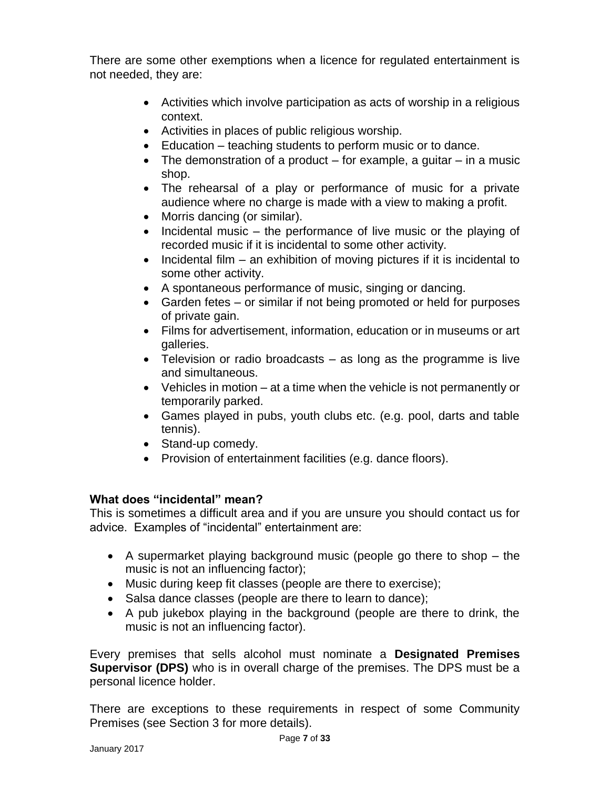There are some other exemptions when a licence for regulated entertainment is not needed, they are:

- Activities which involve participation as acts of worship in a religious context.
- Activities in places of public religious worship.
- Education teaching students to perform music or to dance.
- $\bullet$  The demonstration of a product for example, a quitar in a music shop.
- The rehearsal of a play or performance of music for a private audience where no charge is made with a view to making a profit.
- Morris dancing (or similar).
- $\bullet$  Incidental music the performance of live music or the playing of recorded music if it is incidental to some other activity.
- $\bullet$  Incidental film an exhibition of moving pictures if it is incidental to some other activity.
- A spontaneous performance of music, singing or dancing.
- Garden fetes or similar if not being promoted or held for purposes of private gain.
- Films for advertisement, information, education or in museums or art galleries.
- Television or radio broadcasts as long as the programme is live and simultaneous.
- Vehicles in motion at a time when the vehicle is not permanently or temporarily parked.
- Games played in pubs, youth clubs etc. (e.g. pool, darts and table tennis).
- Stand-up comedy.
- Provision of entertainment facilities (e.g. dance floors).

#### **What does "incidental" mean?**

This is sometimes a difficult area and if you are unsure you should contact us for advice. Examples of "incidental" entertainment are:

- A supermarket playing background music (people go there to shop the music is not an influencing factor);
- Music during keep fit classes (people are there to exercise);
- Salsa dance classes (people are there to learn to dance);
- A pub jukebox playing in the background (people are there to drink, the music is not an influencing factor).

Every premises that sells alcohol must nominate a **Designated Premises Supervisor (DPS)** who is in overall charge of the premises. The DPS must be a personal licence holder.

There are exceptions to these requirements in respect of some Community Premises (see Section 3 for more details).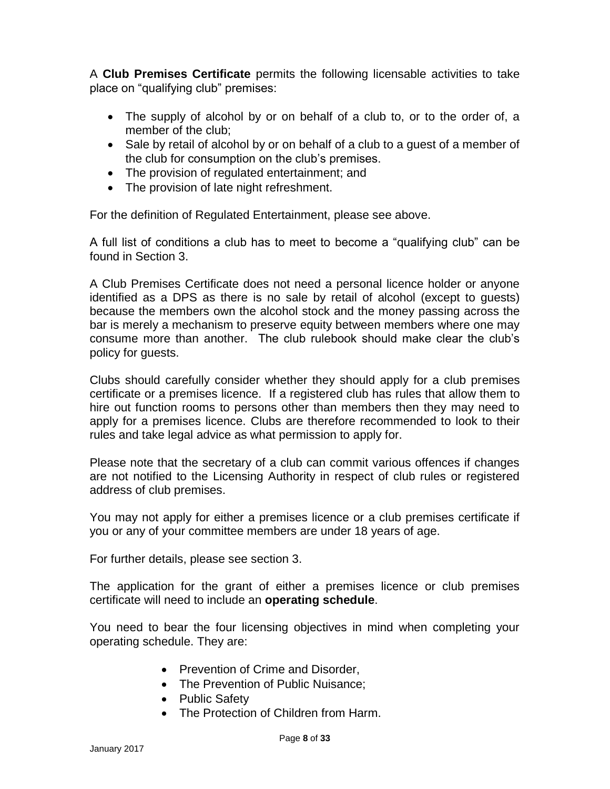A **Club Premises Certificate** permits the following licensable activities to take place on "qualifying club" premises:

- The supply of alcohol by or on behalf of a club to, or to the order of, a member of the club;
- Sale by retail of alcohol by or on behalf of a club to a quest of a member of the club for consumption on the club's premises.
- The provision of regulated entertainment; and
- The provision of late night refreshment.

For the definition of Regulated Entertainment, please see above.

A full list of conditions a club has to meet to become a "qualifying club" can be found in Section 3.

A Club Premises Certificate does not need a personal licence holder or anyone identified as a DPS as there is no sale by retail of alcohol (except to guests) because the members own the alcohol stock and the money passing across the bar is merely a mechanism to preserve equity between members where one may consume more than another. The club rulebook should make clear the club's policy for guests.

Clubs should carefully consider whether they should apply for a club premises certificate or a premises licence. If a registered club has rules that allow them to hire out function rooms to persons other than members then they may need to apply for a premises licence. Clubs are therefore recommended to look to their rules and take legal advice as what permission to apply for.

Please note that the secretary of a club can commit various offences if changes are not notified to the Licensing Authority in respect of club rules or registered address of club premises.

You may not apply for either a premises licence or a club premises certificate if you or any of your committee members are under 18 years of age.

For further details, please see section 3.

The application for the grant of either a premises licence or club premises certificate will need to include an **operating schedule**.

You need to bear the four licensing objectives in mind when completing your operating schedule. They are:

- Prevention of Crime and Disorder,
- The Prevention of Public Nuisance;
- Public Safety
- The Protection of Children from Harm.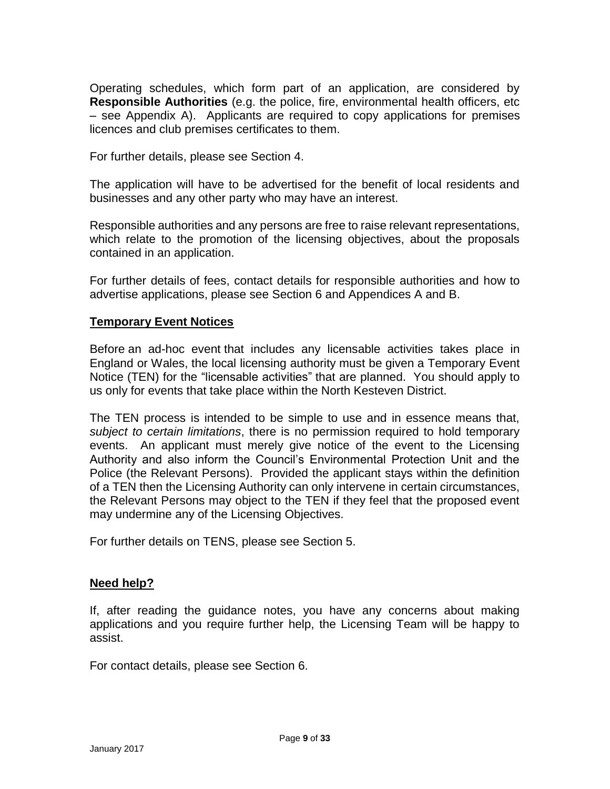Operating schedules, which form part of an application, are considered by **Responsible Authorities** (e.g. the police, fire, environmental health officers, etc – see Appendix A). Applicants are required to copy applications for premises licences and club premises certificates to them.

For further details, please see Section 4.

The application will have to be advertised for the benefit of local residents and businesses and any other party who may have an interest.

Responsible authorities and any persons are free to raise relevant representations, which relate to the promotion of the licensing objectives, about the proposals contained in an application.

For further details of fees, contact details for responsible authorities and how to advertise applications, please see Section 6 and Appendices A and B.

#### **Temporary Event Notices**

Before an ad-hoc event that includes any licensable activities takes place in England or Wales, the local licensing authority must be given a Temporary Event Notice (TEN) for the "licensable activities" that are planned. You should apply to us only for events that take place within the North Kesteven District.

The TEN process is intended to be simple to use and in essence means that, *subject to certain limitations*, there is no permission required to hold temporary events. An applicant must merely give notice of the event to the Licensing Authority and also inform the Council's Environmental Protection Unit and the Police (the Relevant Persons). Provided the applicant stays within the definition of a TEN then the Licensing Authority can only intervene in certain circumstances, the Relevant Persons may object to the TEN if they feel that the proposed event may undermine any of the Licensing Objectives.

For further details on TENS, please see Section 5.

#### **Need help?**

If, after reading the guidance notes, you have any concerns about making applications and you require further help, the Licensing Team will be happy to assist.

For contact details, please see Section 6.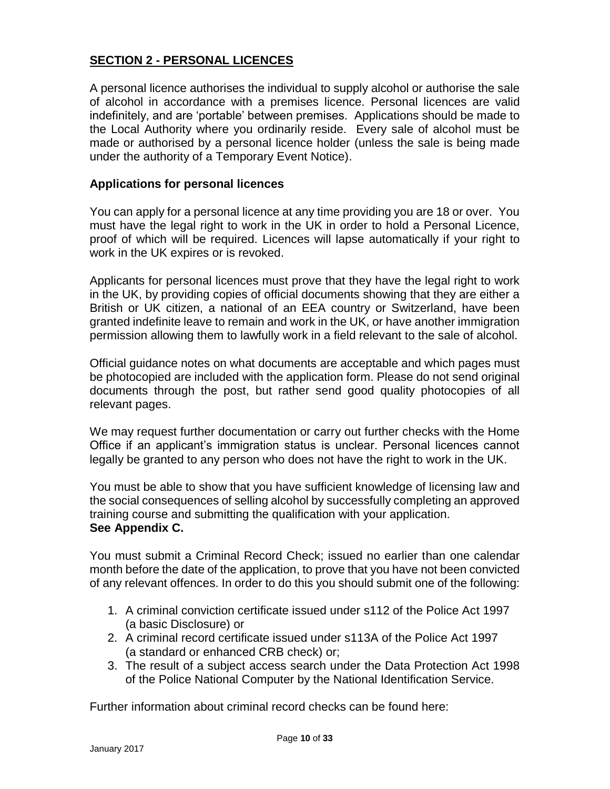#### **SECTION 2 - PERSONAL LICENCES**

A personal licence authorises the individual to supply alcohol or authorise the sale of alcohol in accordance with a premises licence. Personal licences are valid indefinitely, and are 'portable' between premises. Applications should be made to the Local Authority where you ordinarily reside. Every sale of alcohol must be made or authorised by a personal licence holder (unless the sale is being made under the authority of a Temporary Event Notice).

#### **Applications for personal licences**

You can apply for a personal licence at any time providing you are 18 or over. You must have the legal right to work in the UK in order to hold a Personal Licence, proof of which will be required. Licences will lapse automatically if your right to work in the UK expires or is revoked.

Applicants for personal licences must prove that they have the legal right to work in the UK, by providing copies of official documents showing that they are either a British or UK citizen, a national of an EEA country or Switzerland, have been granted indefinite leave to remain and work in the UK, or have another immigration permission allowing them to lawfully work in a field relevant to the sale of alcohol.

Official guidance notes on what documents are acceptable and which pages must be photocopied are included with the application form. Please do not send original documents through the post, but rather send good quality photocopies of all relevant pages.

We may request further documentation or carry out further checks with the Home Office if an applicant's immigration status is unclear. Personal licences cannot legally be granted to any person who does not have the right to work in the UK.

You must be able to show that you have sufficient knowledge of licensing law and the social consequences of selling alcohol by successfully completing an approved training course and submitting the qualification with your application. **See Appendix C.** 

You must submit a Criminal Record Check; issued no earlier than one calendar month before the date of the application, to prove that you have not been convicted of any relevant offences. In order to do this you should submit one of the following:

- 1. A criminal conviction certificate issued under s112 of the Police Act 1997 (a basic Disclosure) or
- 2. A criminal record certificate issued under s113A of the Police Act 1997 (a standard or enhanced CRB check) or;
- 3. The result of a subject access search under the Data Protection Act 1998 of the Police National Computer by the National Identification Service.

Further information about criminal record checks can be found here: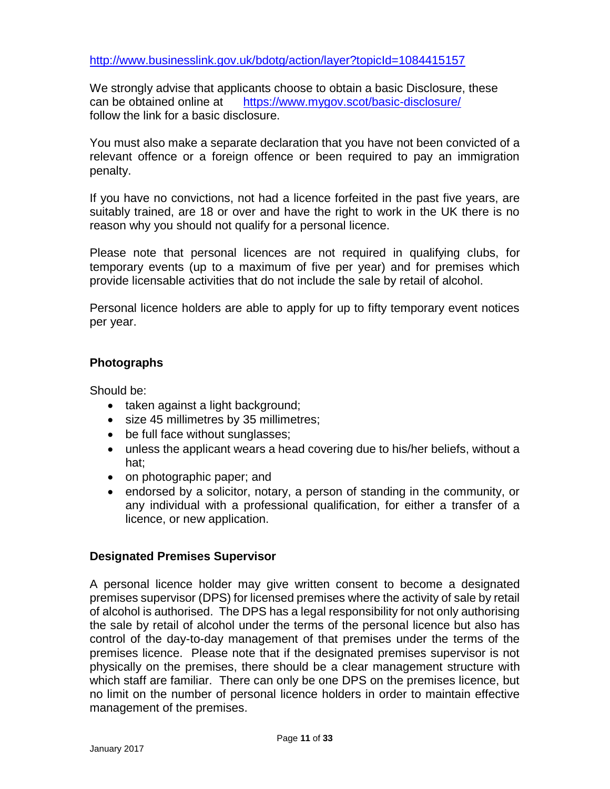<http://www.businesslink.gov.uk/bdotg/action/layer?topicId=1084415157>

We strongly advise that applicants choose to obtain a basic Disclosure, these can be obtained online at https://www.mygov.scot/basic-disclosure/ follow the link for a basic disclosure.

You must also make a separate declaration that you have not been convicted of a relevant offence or a foreign offence or been required to pay an immigration penalty.

If you have no convictions, not had a licence forfeited in the past five years, are suitably trained, are 18 or over and have the right to work in the UK there is no reason why you should not qualify for a personal licence.

Please note that personal licences are not required in qualifying clubs, for temporary events (up to a maximum of five per year) and for premises which provide licensable activities that do not include the sale by retail of alcohol.

Personal licence holders are able to apply for up to fifty temporary event notices per year.

#### **Photographs**

Should be:

- taken against a light background;
- size 45 millimetres by 35 millimetres;
- be full face without sunglasses;
- unless the applicant wears a head covering due to his/her beliefs, without a hat;
- on photographic paper; and
- endorsed by a solicitor, notary, a person of standing in the community, or any individual with a professional qualification, for either a transfer of a licence, or new application.

#### **Designated Premises Supervisor**

A personal licence holder may give written consent to become a designated premises supervisor (DPS) for licensed premises where the activity of sale by retail of alcohol is authorised. The DPS has a legal responsibility for not only authorising the sale by retail of alcohol under the terms of the personal licence but also has control of the day-to-day management of that premises under the terms of the premises licence. Please note that if the designated premises supervisor is not physically on the premises, there should be a clear management structure with which staff are familiar. There can only be one DPS on the premises licence, but no limit on the number of personal licence holders in order to maintain effective management of the premises.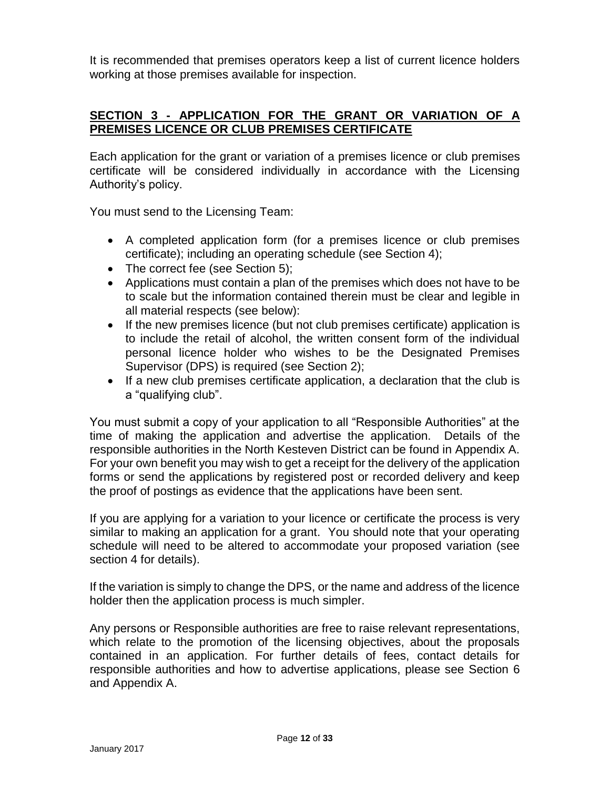It is recommended that premises operators keep a list of current licence holders working at those premises available for inspection.

#### **SECTION 3 - APPLICATION FOR THE GRANT OR VARIATION OF A PREMISES LICENCE OR CLUB PREMISES CERTIFICATE**

Each application for the grant or variation of a premises licence or club premises certificate will be considered individually in accordance with the Licensing Authority's policy.

You must send to the Licensing Team:

- A completed application form (for a premises licence or club premises certificate); including an operating schedule (see Section 4);
- The correct fee (see Section 5);
- Applications must contain a plan of the premises which does not have to be to scale but the information contained therein must be clear and legible in all material respects (see below):
- If the new premises licence (but not club premises certificate) application is to include the retail of alcohol, the written consent form of the individual personal licence holder who wishes to be the Designated Premises Supervisor (DPS) is required (see Section 2);
- If a new club premises certificate application, a declaration that the club is a "qualifying club".

You must submit a copy of your application to all "Responsible Authorities" at the time of making the application and advertise the application. Details of the responsible authorities in the North Kesteven District can be found in Appendix A. For your own benefit you may wish to get a receipt for the delivery of the application forms or send the applications by registered post or recorded delivery and keep the proof of postings as evidence that the applications have been sent.

If you are applying for a variation to your licence or certificate the process is very similar to making an application for a grant. You should note that your operating schedule will need to be altered to accommodate your proposed variation (see section 4 for details).

If the variation is simply to change the DPS, or the name and address of the licence holder then the application process is much simpler.

Any persons or Responsible authorities are free to raise relevant representations, which relate to the promotion of the licensing objectives, about the proposals contained in an application. For further details of fees, contact details for responsible authorities and how to advertise applications, please see Section 6 and Appendix A.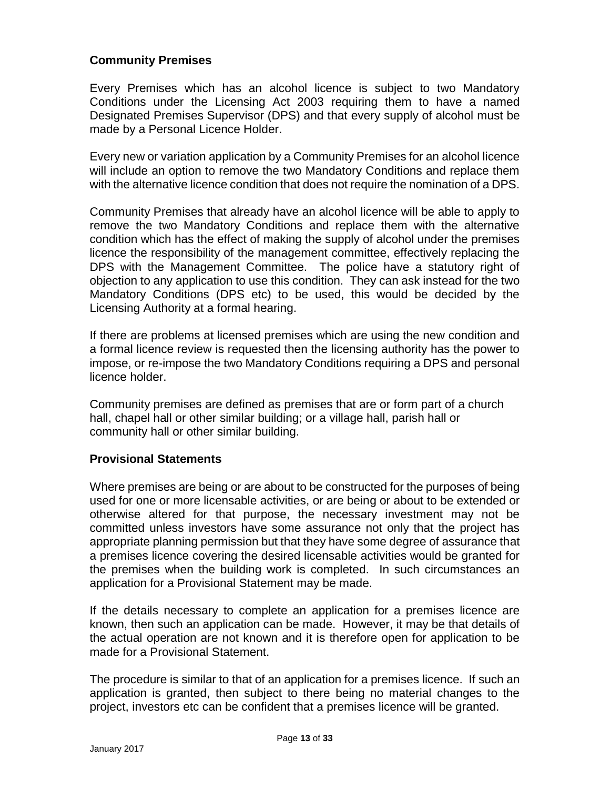#### **Community Premises**

Every Premises which has an alcohol licence is subject to two Mandatory Conditions under the Licensing Act 2003 requiring them to have a named Designated Premises Supervisor (DPS) and that every supply of alcohol must be made by a Personal Licence Holder.

Every new or variation application by a Community Premises for an alcohol licence will include an option to remove the two Mandatory Conditions and replace them with the alternative licence condition that does not require the nomination of a DPS.

Community Premises that already have an alcohol licence will be able to apply to remove the two Mandatory Conditions and replace them with the alternative condition which has the effect of making the supply of alcohol under the premises licence the responsibility of the management committee, effectively replacing the DPS with the Management Committee. The police have a statutory right of objection to any application to use this condition. They can ask instead for the two Mandatory Conditions (DPS etc) to be used, this would be decided by the Licensing Authority at a formal hearing.

If there are problems at licensed premises which are using the new condition and a formal licence review is requested then the licensing authority has the power to impose, or re-impose the two Mandatory Conditions requiring a DPS and personal licence holder.

Community premises are defined as premises that are or form part of a church hall, chapel hall or other similar building; or a village hall, parish hall or community hall or other similar building.

#### **Provisional Statements**

Where premises are being or are about to be constructed for the purposes of being used for one or more licensable activities, or are being or about to be extended or otherwise altered for that purpose, the necessary investment may not be committed unless investors have some assurance not only that the project has appropriate planning permission but that they have some degree of assurance that a premises licence covering the desired licensable activities would be granted for the premises when the building work is completed. In such circumstances an application for a Provisional Statement may be made.

If the details necessary to complete an application for a premises licence are known, then such an application can be made. However, it may be that details of the actual operation are not known and it is therefore open for application to be made for a Provisional Statement.

The procedure is similar to that of an application for a premises licence. If such an application is granted, then subject to there being no material changes to the project, investors etc can be confident that a premises licence will be granted.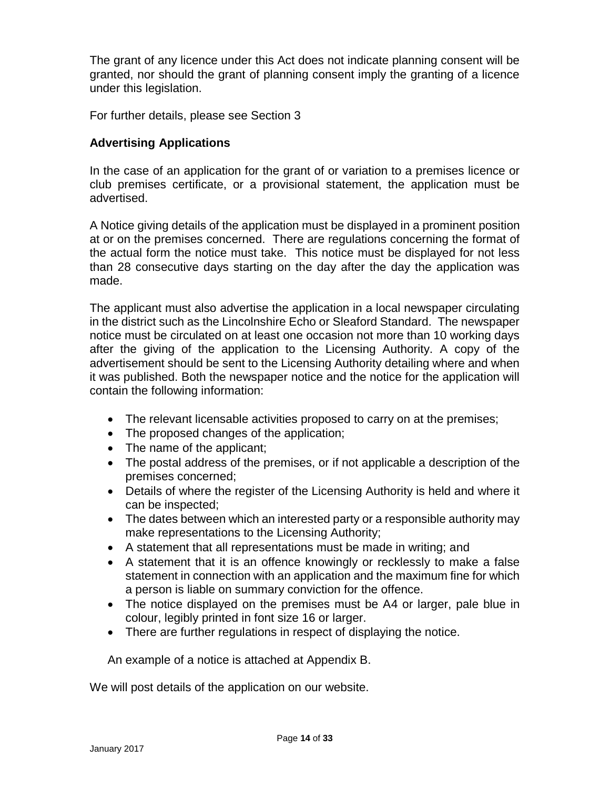The grant of any licence under this Act does not indicate planning consent will be granted, nor should the grant of planning consent imply the granting of a licence under this legislation.

For further details, please see Section 3

#### **Advertising Applications**

In the case of an application for the grant of or variation to a premises licence or club premises certificate, or a provisional statement, the application must be advertised.

A Notice giving details of the application must be displayed in a prominent position at or on the premises concerned. There are regulations concerning the format of the actual form the notice must take. This notice must be displayed for not less than 28 consecutive days starting on the day after the day the application was made.

The applicant must also advertise the application in a local newspaper circulating in the district such as the Lincolnshire Echo or Sleaford Standard. The newspaper notice must be circulated on at least one occasion not more than 10 working days after the giving of the application to the Licensing Authority. A copy of the advertisement should be sent to the Licensing Authority detailing where and when it was published. Both the newspaper notice and the notice for the application will contain the following information:

- The relevant licensable activities proposed to carry on at the premises;
- The proposed changes of the application;
- The name of the applicant;
- The postal address of the premises, or if not applicable a description of the premises concerned;
- Details of where the register of the Licensing Authority is held and where it can be inspected;
- The dates between which an interested party or a responsible authority may make representations to the Licensing Authority;
- A statement that all representations must be made in writing; and
- A statement that it is an offence knowingly or recklessly to make a false statement in connection with an application and the maximum fine for which a person is liable on summary conviction for the offence.
- The notice displayed on the premises must be A4 or larger, pale blue in colour, legibly printed in font size 16 or larger.
- There are further regulations in respect of displaying the notice.

An example of a notice is attached at Appendix B.

We will post details of the application on our website.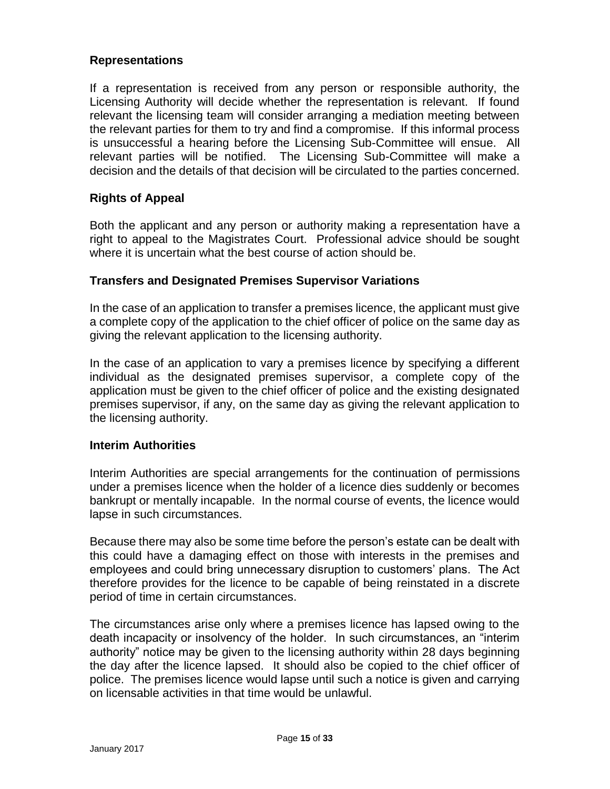#### **Representations**

If a representation is received from any person or responsible authority, the Licensing Authority will decide whether the representation is relevant. If found relevant the licensing team will consider arranging a mediation meeting between the relevant parties for them to try and find a compromise. If this informal process is unsuccessful a hearing before the Licensing Sub-Committee will ensue. All relevant parties will be notified. The Licensing Sub-Committee will make a decision and the details of that decision will be circulated to the parties concerned.

#### **Rights of Appeal**

Both the applicant and any person or authority making a representation have a right to appeal to the Magistrates Court. Professional advice should be sought where it is uncertain what the best course of action should be.

#### **Transfers and Designated Premises Supervisor Variations**

In the case of an application to transfer a premises licence, the applicant must give a complete copy of the application to the chief officer of police on the same day as giving the relevant application to the licensing authority.

In the case of an application to vary a premises licence by specifying a different individual as the designated premises supervisor, a complete copy of the application must be given to the chief officer of police and the existing designated premises supervisor, if any, on the same day as giving the relevant application to the licensing authority.

#### **Interim Authorities**

Interim Authorities are special arrangements for the continuation of permissions under a premises licence when the holder of a licence dies suddenly or becomes bankrupt or mentally incapable. In the normal course of events, the licence would lapse in such circumstances.

Because there may also be some time before the person's estate can be dealt with this could have a damaging effect on those with interests in the premises and employees and could bring unnecessary disruption to customers' plans. The Act therefore provides for the licence to be capable of being reinstated in a discrete period of time in certain circumstances.

The circumstances arise only where a premises licence has lapsed owing to the death incapacity or insolvency of the holder. In such circumstances, an "interim authority" notice may be given to the licensing authority within 28 days beginning the day after the licence lapsed. It should also be copied to the chief officer of police. The premises licence would lapse until such a notice is given and carrying on licensable activities in that time would be unlawful.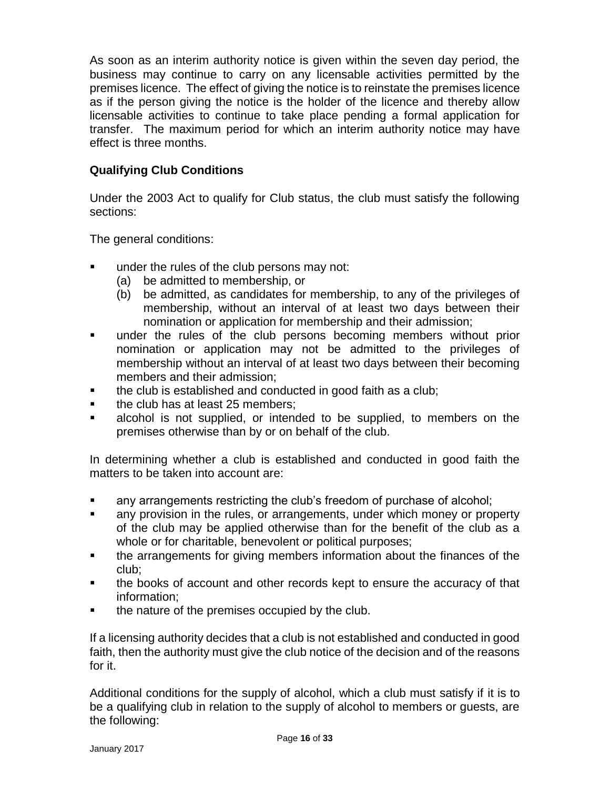As soon as an interim authority notice is given within the seven day period, the business may continue to carry on any licensable activities permitted by the premises licence. The effect of giving the notice is to reinstate the premises licence as if the person giving the notice is the holder of the licence and thereby allow licensable activities to continue to take place pending a formal application for transfer. The maximum period for which an interim authority notice may have effect is three months.

#### **Qualifying Club Conditions**

Under the 2003 Act to qualify for Club status, the club must satisfy the following sections:

The general conditions:

- under the rules of the club persons may not:
	- (a) be admitted to membership, or
	- (b) be admitted, as candidates for membership, to any of the privileges of membership, without an interval of at least two days between their nomination or application for membership and their admission;
- under the rules of the club persons becoming members without prior nomination or application may not be admitted to the privileges of membership without an interval of at least two days between their becoming members and their admission;
- the club is established and conducted in good faith as a club;
- the club has at least 25 members;
- alcohol is not supplied, or intended to be supplied, to members on the premises otherwise than by or on behalf of the club.

In determining whether a club is established and conducted in good faith the matters to be taken into account are:

- any arrangements restricting the club's freedom of purchase of alcohol;
- any provision in the rules, or arrangements, under which money or property of the club may be applied otherwise than for the benefit of the club as a whole or for charitable, benevolent or political purposes;
- the arrangements for giving members information about the finances of the club;
- the books of account and other records kept to ensure the accuracy of that information;
- the nature of the premises occupied by the club.

If a licensing authority decides that a club is not established and conducted in good faith, then the authority must give the club notice of the decision and of the reasons for it.

Additional conditions for the supply of alcohol, which a club must satisfy if it is to be a qualifying club in relation to the supply of alcohol to members or guests, are the following: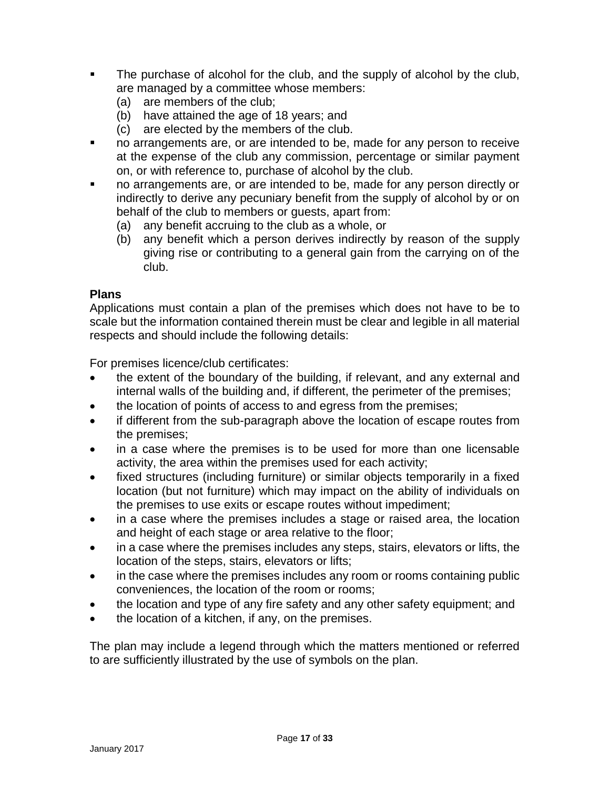- The purchase of alcohol for the club, and the supply of alcohol by the club, are managed by a committee whose members:
	- (a) are members of the club;
	- (b) have attained the age of 18 years; and
	- (c) are elected by the members of the club.
- no arrangements are, or are intended to be, made for any person to receive at the expense of the club any commission, percentage or similar payment on, or with reference to, purchase of alcohol by the club.
- no arrangements are, or are intended to be, made for any person directly or indirectly to derive any pecuniary benefit from the supply of alcohol by or on behalf of the club to members or guests, apart from:
	- (a) any benefit accruing to the club as a whole, or
	- (b) any benefit which a person derives indirectly by reason of the supply giving rise or contributing to a general gain from the carrying on of the club.

#### **Plans**

Applications must contain a plan of the premises which does not have to be to scale but the information contained therein must be clear and legible in all material respects and should include the following details:

For premises licence/club certificates:

- the extent of the boundary of the building, if relevant, and any external and internal walls of the building and, if different, the perimeter of the premises;
- the location of points of access to and egress from the premises;
- if different from the sub-paragraph above the location of escape routes from the premises;
- in a case where the premises is to be used for more than one licensable activity, the area within the premises used for each activity;
- fixed structures (including furniture) or similar objects temporarily in a fixed location (but not furniture) which may impact on the ability of individuals on the premises to use exits or escape routes without impediment;
- in a case where the premises includes a stage or raised area, the location and height of each stage or area relative to the floor;
- in a case where the premises includes any steps, stairs, elevators or lifts, the location of the steps, stairs, elevators or lifts;
- in the case where the premises includes any room or rooms containing public conveniences, the location of the room or rooms;
- the location and type of any fire safety and any other safety equipment; and
- the location of a kitchen, if any, on the premises.

The plan may include a legend through which the matters mentioned or referred to are sufficiently illustrated by the use of symbols on the plan.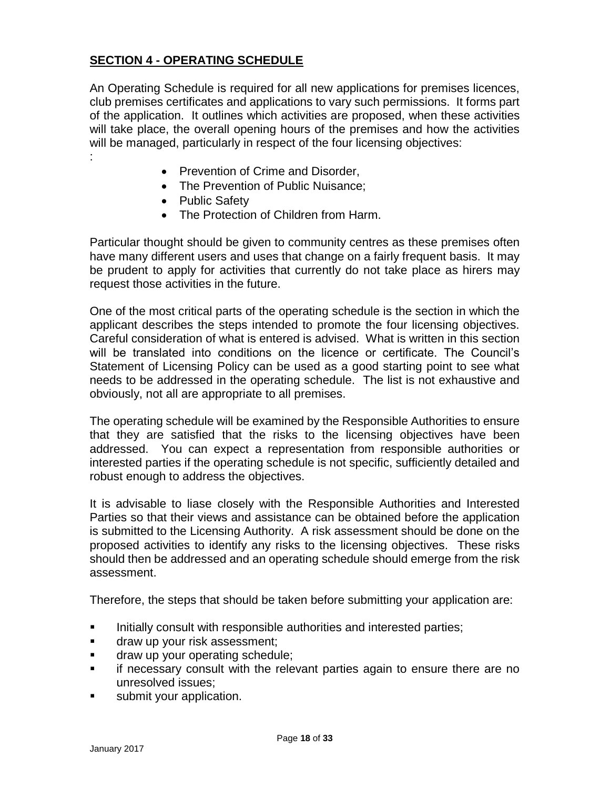#### **SECTION 4 - OPERATING SCHEDULE**

An Operating Schedule is required for all new applications for premises licences, club premises certificates and applications to vary such permissions. It forms part of the application. It outlines which activities are proposed, when these activities will take place, the overall opening hours of the premises and how the activities will be managed, particularly in respect of the four licensing objectives: :

- Prevention of Crime and Disorder,
- The Prevention of Public Nuisance;
- Public Safety
- The Protection of Children from Harm.

Particular thought should be given to community centres as these premises often have many different users and uses that change on a fairly frequent basis. It may be prudent to apply for activities that currently do not take place as hirers may request those activities in the future.

One of the most critical parts of the operating schedule is the section in which the applicant describes the steps intended to promote the four licensing objectives. Careful consideration of what is entered is advised. What is written in this section will be translated into conditions on the licence or certificate. The Council's Statement of Licensing Policy can be used as a good starting point to see what needs to be addressed in the operating schedule. The list is not exhaustive and obviously, not all are appropriate to all premises.

The operating schedule will be examined by the Responsible Authorities to ensure that they are satisfied that the risks to the licensing objectives have been addressed. You can expect a representation from responsible authorities or interested parties if the operating schedule is not specific, sufficiently detailed and robust enough to address the objectives.

It is advisable to liase closely with the Responsible Authorities and Interested Parties so that their views and assistance can be obtained before the application is submitted to the Licensing Authority. A risk assessment should be done on the proposed activities to identify any risks to the licensing objectives. These risks should then be addressed and an operating schedule should emerge from the risk assessment.

Therefore, the steps that should be taken before submitting your application are:

- **Initially consult with responsible authorities and interested parties:**
- **draw up your risk assessment;**
- draw up your operating schedule;
- **F** if necessary consult with the relevant parties again to ensure there are no unresolved issues;
- submit your application.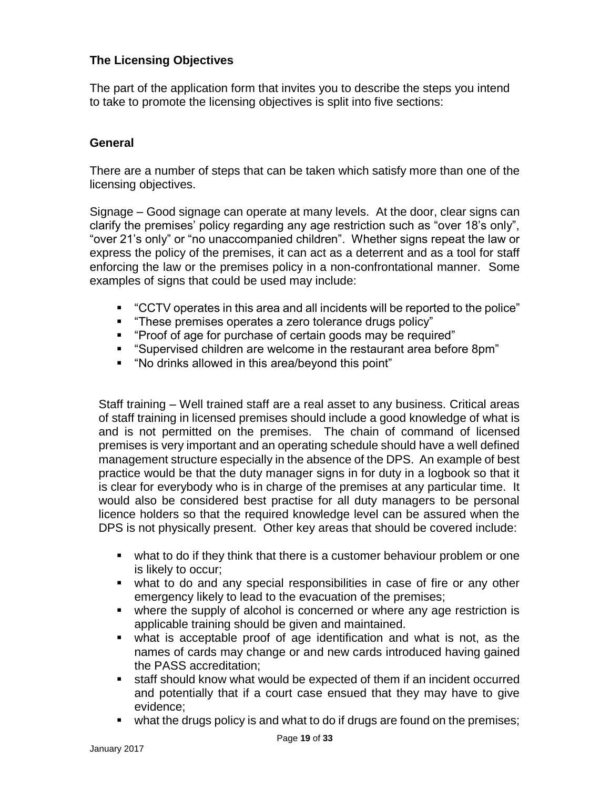#### **The Licensing Objectives**

The part of the application form that invites you to describe the steps you intend to take to promote the licensing objectives is split into five sections:

#### **General**

There are a number of steps that can be taken which satisfy more than one of the licensing objectives.

Signage – Good signage can operate at many levels. At the door, clear signs can clarify the premises' policy regarding any age restriction such as "over 18's only", "over 21's only" or "no unaccompanied children". Whether signs repeat the law or express the policy of the premises, it can act as a deterrent and as a tool for staff enforcing the law or the premises policy in a non-confrontational manner. Some examples of signs that could be used may include:

- "CCTV operates in this area and all incidents will be reported to the police"
- "These premises operates a zero tolerance drugs policy"
- "Proof of age for purchase of certain goods may be required"
- "Supervised children are welcome in the restaurant area before 8pm"
- "No drinks allowed in this area/beyond this point"

Staff training – Well trained staff are a real asset to any business. Critical areas of staff training in licensed premises should include a good knowledge of what is and is not permitted on the premises. The chain of command of licensed premises is very important and an operating schedule should have a well defined management structure especially in the absence of the DPS. An example of best practice would be that the duty manager signs in for duty in a logbook so that it is clear for everybody who is in charge of the premises at any particular time. It would also be considered best practise for all duty managers to be personal licence holders so that the required knowledge level can be assured when the DPS is not physically present. Other key areas that should be covered include:

- what to do if they think that there is a customer behaviour problem or one is likely to occur;
- what to do and any special responsibilities in case of fire or any other emergency likely to lead to the evacuation of the premises;
- where the supply of alcohol is concerned or where any age restriction is applicable training should be given and maintained.
- what is acceptable proof of age identification and what is not, as the names of cards may change or and new cards introduced having gained the PASS accreditation;
- staff should know what would be expected of them if an incident occurred and potentially that if a court case ensued that they may have to give evidence;
- what the drugs policy is and what to do if drugs are found on the premises;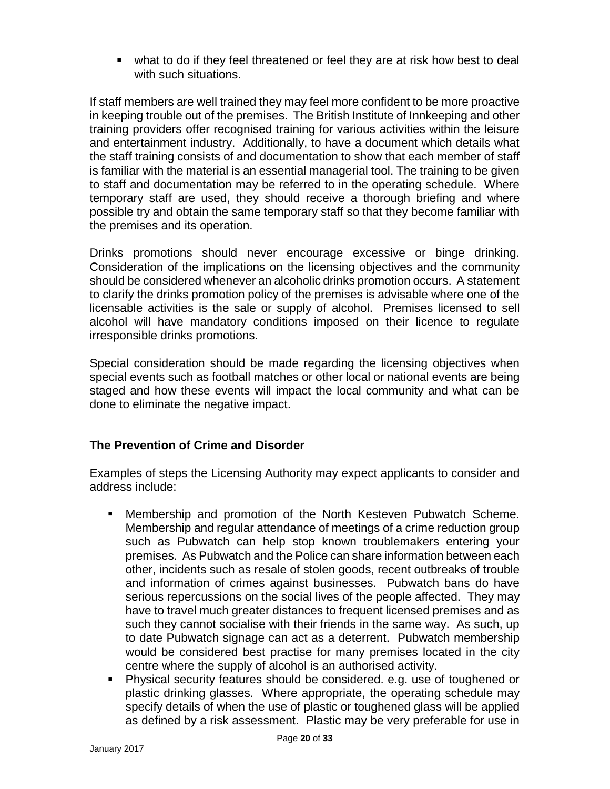what to do if they feel threatened or feel they are at risk how best to deal with such situations.

If staff members are well trained they may feel more confident to be more proactive in keeping trouble out of the premises. The British Institute of Innkeeping and other training providers offer recognised training for various activities within the leisure and entertainment industry. Additionally, to have a document which details what the staff training consists of and documentation to show that each member of staff is familiar with the material is an essential managerial tool. The training to be given to staff and documentation may be referred to in the operating schedule. Where temporary staff are used, they should receive a thorough briefing and where possible try and obtain the same temporary staff so that they become familiar with the premises and its operation.

Drinks promotions should never encourage excessive or binge drinking. Consideration of the implications on the licensing objectives and the community should be considered whenever an alcoholic drinks promotion occurs. A statement to clarify the drinks promotion policy of the premises is advisable where one of the licensable activities is the sale or supply of alcohol. Premises licensed to sell alcohol will have mandatory conditions imposed on their licence to regulate irresponsible drinks promotions.

Special consideration should be made regarding the licensing objectives when special events such as football matches or other local or national events are being staged and how these events will impact the local community and what can be done to eliminate the negative impact.

#### **The Prevention of Crime and Disorder**

Examples of steps the Licensing Authority may expect applicants to consider and address include:

- Membership and promotion of the North Kesteven Pubwatch Scheme. Membership and regular attendance of meetings of a crime reduction group such as Pubwatch can help stop known troublemakers entering your premises. As Pubwatch and the Police can share information between each other, incidents such as resale of stolen goods, recent outbreaks of trouble and information of crimes against businesses. Pubwatch bans do have serious repercussions on the social lives of the people affected. They may have to travel much greater distances to frequent licensed premises and as such they cannot socialise with their friends in the same way. As such, up to date Pubwatch signage can act as a deterrent. Pubwatch membership would be considered best practise for many premises located in the city centre where the supply of alcohol is an authorised activity.
- Physical security features should be considered. e.g. use of toughened or plastic drinking glasses. Where appropriate, the operating schedule may specify details of when the use of plastic or toughened glass will be applied as defined by a risk assessment. Plastic may be very preferable for use in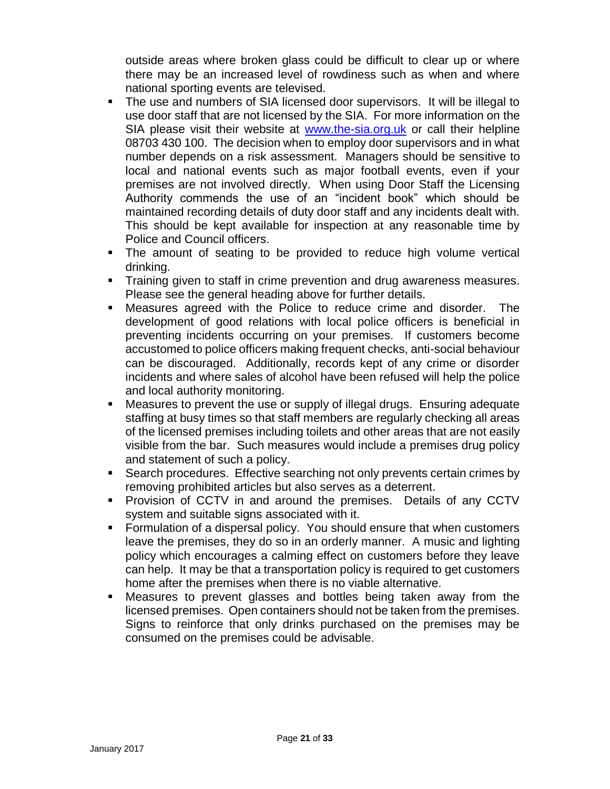outside areas where broken glass could be difficult to clear up or where there may be an increased level of rowdiness such as when and where national sporting events are televised.

- The use and numbers of SIA licensed door supervisors. It will be illegal to use door staff that are not licensed by the SIA. For more information on the SIA please visit their website at [www.the-sia.org.uk](http://www.the-sia.org.uk/) or call their helpline 08703 430 100. The decision when to employ door supervisors and in what number depends on a risk assessment. Managers should be sensitive to local and national events such as major football events, even if your premises are not involved directly. When using Door Staff the Licensing Authority commends the use of an "incident book" which should be maintained recording details of duty door staff and any incidents dealt with. This should be kept available for inspection at any reasonable time by Police and Council officers.
- The amount of seating to be provided to reduce high volume vertical drinking.
- **Training given to staff in crime prevention and drug awareness measures.** Please see the general heading above for further details.
- Measures agreed with the Police to reduce crime and disorder. The development of good relations with local police officers is beneficial in preventing incidents occurring on your premises. If customers become accustomed to police officers making frequent checks, anti-social behaviour can be discouraged. Additionally, records kept of any crime or disorder incidents and where sales of alcohol have been refused will help the police and local authority monitoring.
- Measures to prevent the use or supply of illegal drugs. Ensuring adequate staffing at busy times so that staff members are regularly checking all areas of the licensed premises including toilets and other areas that are not easily visible from the bar. Such measures would include a premises drug policy and statement of such a policy.
- Search procedures. Effective searching not only prevents certain crimes by removing prohibited articles but also serves as a deterrent.
- **Provision of CCTV in and around the premises. Details of any CCTV** system and suitable signs associated with it.
- **Formulation of a dispersal policy. You should ensure that when customers** leave the premises, they do so in an orderly manner. A music and lighting policy which encourages a calming effect on customers before they leave can help. It may be that a transportation policy is required to get customers home after the premises when there is no viable alternative.
- Measures to prevent glasses and bottles being taken away from the licensed premises. Open containers should not be taken from the premises. Signs to reinforce that only drinks purchased on the premises may be consumed on the premises could be advisable.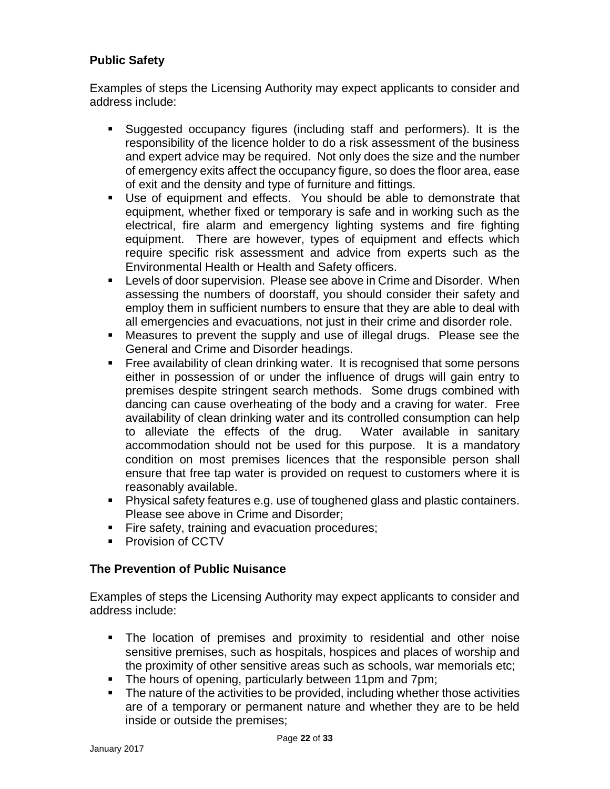#### **Public Safety**

Examples of steps the Licensing Authority may expect applicants to consider and address include:

- Suggested occupancy figures (including staff and performers). It is the responsibility of the licence holder to do a risk assessment of the business and expert advice may be required. Not only does the size and the number of emergency exits affect the occupancy figure, so does the floor area, ease of exit and the density and type of furniture and fittings.
- Use of equipment and effects. You should be able to demonstrate that equipment, whether fixed or temporary is safe and in working such as the electrical, fire alarm and emergency lighting systems and fire fighting equipment. There are however, types of equipment and effects which require specific risk assessment and advice from experts such as the Environmental Health or Health and Safety officers.
- Levels of door supervision. Please see above in Crime and Disorder. When assessing the numbers of doorstaff, you should consider their safety and employ them in sufficient numbers to ensure that they are able to deal with all emergencies and evacuations, not just in their crime and disorder role.
- Measures to prevent the supply and use of illegal drugs. Please see the General and Crime and Disorder headings.
- **Figure 2** Free availability of clean drinking water. It is recognised that some persons either in possession of or under the influence of drugs will gain entry to premises despite stringent search methods. Some drugs combined with dancing can cause overheating of the body and a craving for water. Free availability of clean drinking water and its controlled consumption can help to alleviate the effects of the drug. Water available in sanitary accommodation should not be used for this purpose. It is a mandatory condition on most premises licences that the responsible person shall ensure that free tap water is provided on request to customers where it is reasonably available.
- **Physical safety features e.g. use of toughened glass and plastic containers.** Please see above in Crime and Disorder;
- **Fire safety, training and evacuation procedures;**
- **Provision of CCTV**

#### **The Prevention of Public Nuisance**

Examples of steps the Licensing Authority may expect applicants to consider and address include:

- The location of premises and proximity to residential and other noise sensitive premises, such as hospitals, hospices and places of worship and the proximity of other sensitive areas such as schools, war memorials etc;
- The hours of opening, particularly between 11pm and 7pm;
- The nature of the activities to be provided, including whether those activities are of a temporary or permanent nature and whether they are to be held inside or outside the premises;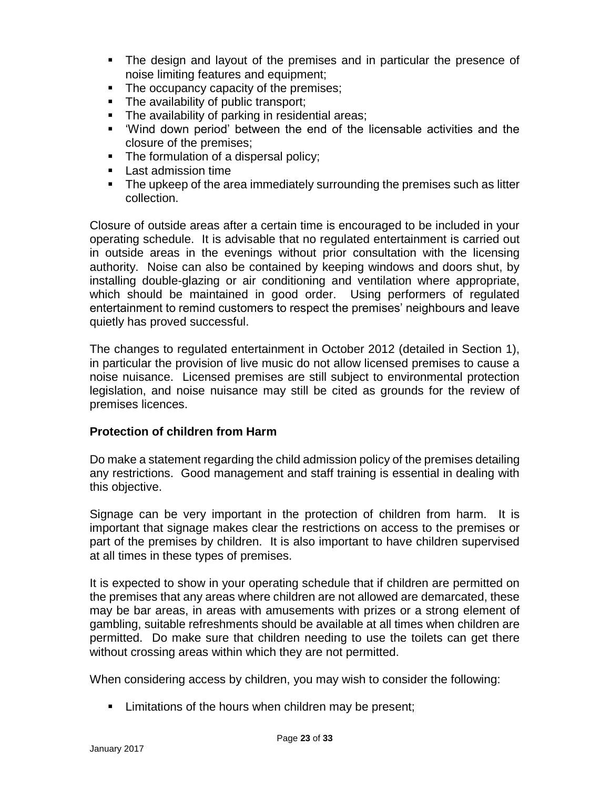- **The design and layout of the premises and in particular the presence of** noise limiting features and equipment;
- The occupancy capacity of the premises;
- The availability of public transport;
- **The availability of parking in residential areas;**
- 'Wind down period' between the end of the licensable activities and the closure of the premises;
- The formulation of a dispersal policy;
- **Last admission time**
- The upkeep of the area immediately surrounding the premises such as litter collection.

Closure of outside areas after a certain time is encouraged to be included in your operating schedule. It is advisable that no regulated entertainment is carried out in outside areas in the evenings without prior consultation with the licensing authority. Noise can also be contained by keeping windows and doors shut, by installing double-glazing or air conditioning and ventilation where appropriate, which should be maintained in good order. Using performers of regulated entertainment to remind customers to respect the premises' neighbours and leave quietly has proved successful.

The changes to regulated entertainment in October 2012 (detailed in Section 1), in particular the provision of live music do not allow licensed premises to cause a noise nuisance. Licensed premises are still subject to environmental protection legislation, and noise nuisance may still be cited as grounds for the review of premises licences.

#### **Protection of children from Harm**

Do make a statement regarding the child admission policy of the premises detailing any restrictions. Good management and staff training is essential in dealing with this objective.

Signage can be very important in the protection of children from harm. It is important that signage makes clear the restrictions on access to the premises or part of the premises by children. It is also important to have children supervised at all times in these types of premises.

It is expected to show in your operating schedule that if children are permitted on the premises that any areas where children are not allowed are demarcated, these may be bar areas, in areas with amusements with prizes or a strong element of gambling, suitable refreshments should be available at all times when children are permitted. Do make sure that children needing to use the toilets can get there without crossing areas within which they are not permitted.

When considering access by children, you may wish to consider the following:

**EXECT** Limitations of the hours when children may be present;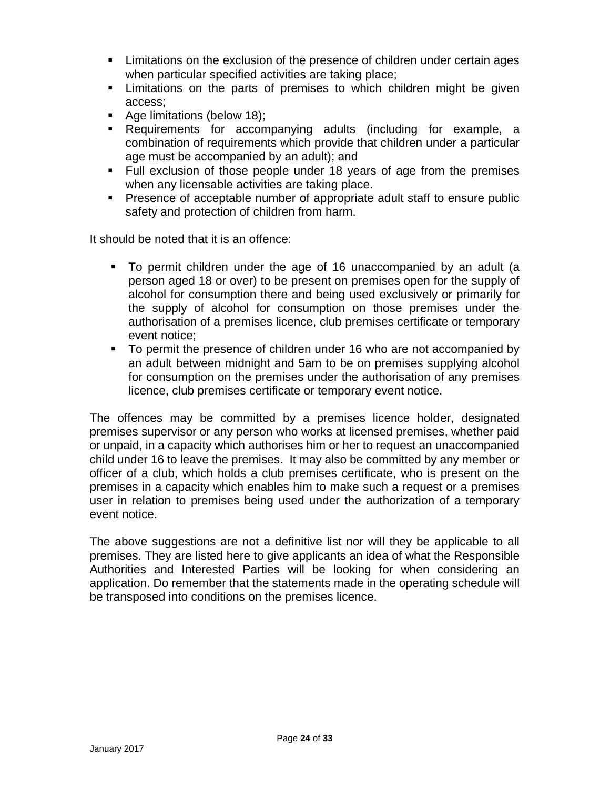- Limitations on the exclusion of the presence of children under certain ages when particular specified activities are taking place;
- Limitations on the parts of premises to which children might be given access;
- Age limitations (below 18);
- Requirements for accompanying adults (including for example, a combination of requirements which provide that children under a particular age must be accompanied by an adult); and
- Full exclusion of those people under 18 years of age from the premises when any licensable activities are taking place.
- **Presence of acceptable number of appropriate adult staff to ensure public** safety and protection of children from harm.

It should be noted that it is an offence:

- To permit children under the age of 16 unaccompanied by an adult (a person aged 18 or over) to be present on premises open for the supply of alcohol for consumption there and being used exclusively or primarily for the supply of alcohol for consumption on those premises under the authorisation of a premises licence, club premises certificate or temporary event notice;
- To permit the presence of children under 16 who are not accompanied by an adult between midnight and 5am to be on premises supplying alcohol for consumption on the premises under the authorisation of any premises licence, club premises certificate or temporary event notice.

The offences may be committed by a premises licence holder, designated premises supervisor or any person who works at licensed premises, whether paid or unpaid, in a capacity which authorises him or her to request an unaccompanied child under 16 to leave the premises. It may also be committed by any member or officer of a club, which holds a club premises certificate, who is present on the premises in a capacity which enables him to make such a request or a premises user in relation to premises being used under the authorization of a temporary event notice.

The above suggestions are not a definitive list nor will they be applicable to all premises. They are listed here to give applicants an idea of what the Responsible Authorities and Interested Parties will be looking for when considering an application. Do remember that the statements made in the operating schedule will be transposed into conditions on the premises licence.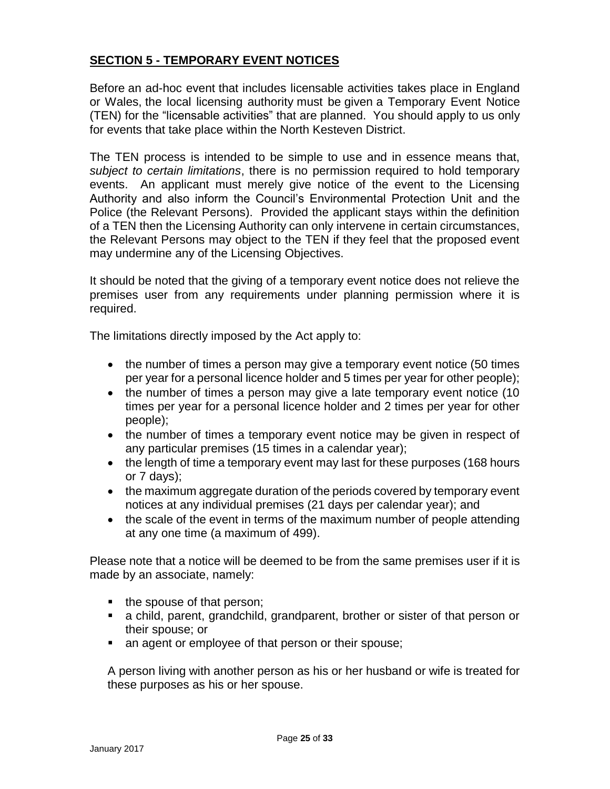#### **SECTION 5 - TEMPORARY EVENT NOTICES**

Before an ad-hoc event that includes licensable activities takes place in England or Wales, the local licensing authority must be given a Temporary Event Notice (TEN) for the "licensable activities" that are planned. You should apply to us only for events that take place within the North Kesteven District.

The TEN process is intended to be simple to use and in essence means that, *subject to certain limitations*, there is no permission required to hold temporary events. An applicant must merely give notice of the event to the Licensing Authority and also inform the Council's Environmental Protection Unit and the Police (the Relevant Persons). Provided the applicant stays within the definition of a TEN then the Licensing Authority can only intervene in certain circumstances, the Relevant Persons may object to the TEN if they feel that the proposed event may undermine any of the Licensing Objectives.

It should be noted that the giving of a temporary event notice does not relieve the premises user from any requirements under planning permission where it is required.

The limitations directly imposed by the Act apply to:

- the number of times a person may give a temporary event notice (50 times per year for a personal licence holder and 5 times per year for other people);
- the number of times a person may give a late temporary event notice (10) times per year for a personal licence holder and 2 times per year for other people);
- the number of times a temporary event notice may be given in respect of any particular premises (15 times in a calendar year);
- the length of time a temporary event may last for these purposes (168 hours or 7 days);
- the maximum aggregate duration of the periods covered by temporary event notices at any individual premises (21 days per calendar year); and
- the scale of the event in terms of the maximum number of people attending at any one time (a maximum of 499).

Please note that a notice will be deemed to be from the same premises user if it is made by an associate, namely:

- the spouse of that person;
- a child, parent, grandchild, grandparent, brother or sister of that person or their spouse; or
- an agent or employee of that person or their spouse;

A person living with another person as his or her husband or wife is treated for these purposes as his or her spouse.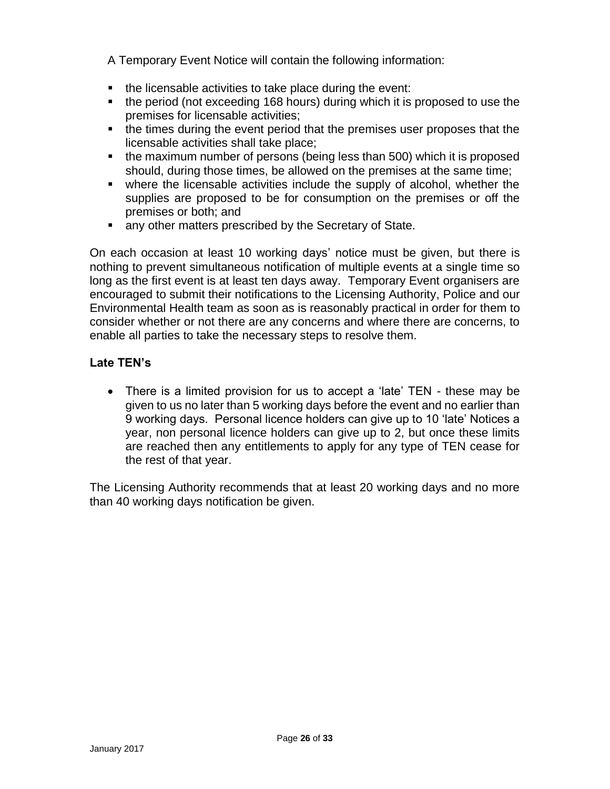A Temporary Event Notice will contain the following information:

- the licensable activities to take place during the event:
- the period (not exceeding 168 hours) during which it is proposed to use the premises for licensable activities;
- the times during the event period that the premises user proposes that the licensable activities shall take place;
- the maximum number of persons (being less than 500) which it is proposed should, during those times, be allowed on the premises at the same time;
- where the licensable activities include the supply of alcohol, whether the supplies are proposed to be for consumption on the premises or off the premises or both; and
- **EXECT** any other matters prescribed by the Secretary of State.

On each occasion at least 10 working days' notice must be given, but there is nothing to prevent simultaneous notification of multiple events at a single time so long as the first event is at least ten days away. Temporary Event organisers are encouraged to submit their notifications to the Licensing Authority, Police and our Environmental Health team as soon as is reasonably practical in order for them to consider whether or not there are any concerns and where there are concerns, to enable all parties to take the necessary steps to resolve them.

#### **Late TEN's**

 There is a limited provision for us to accept a 'late' TEN - these may be given to us no later than 5 working days before the event and no earlier than 9 working days. Personal licence holders can give up to 10 'late' Notices a year, non personal licence holders can give up to 2, but once these limits are reached then any entitlements to apply for any type of TEN cease for the rest of that year.

The Licensing Authority recommends that at least 20 working days and no more than 40 working days notification be given.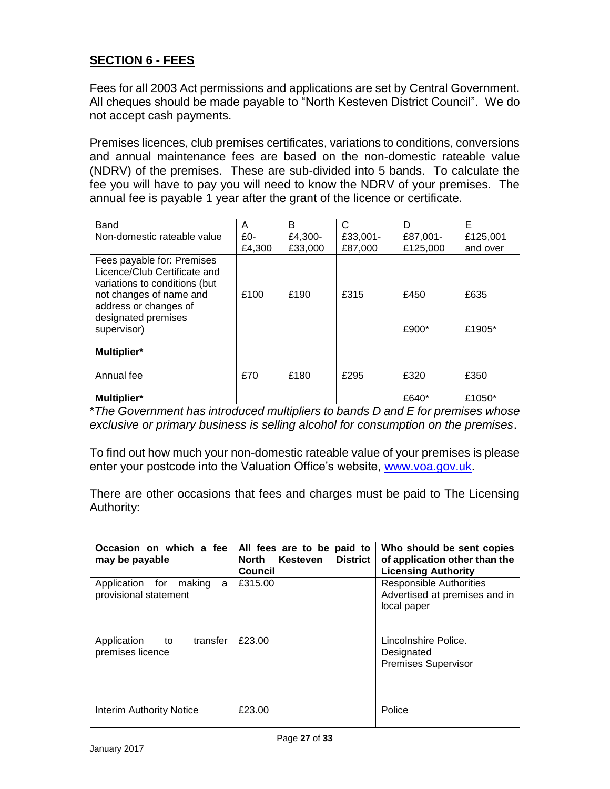#### **SECTION 6 - FEES**

Fees for all 2003 Act permissions and applications are set by Central Government. All cheques should be made payable to "North Kesteven District Council". We do not accept cash payments.

Premises licences, club premises certificates, variations to conditions, conversions and annual maintenance fees are based on the non-domestic rateable value (NDRV) of the premises. These are sub-divided into 5 bands. To calculate the fee you will have to pay you will need to know the NDRV of your premises. The annual fee is payable 1 year after the grant of the licence or certificate.

| Band                          | A      | В       | C        | D        | Е        |
|-------------------------------|--------|---------|----------|----------|----------|
| Non-domestic rateable value   | $£0-$  | £4,300- | £33,001- | £87,001- | £125,001 |
|                               | £4,300 | £33,000 | £87,000  | £125,000 | and over |
| Fees payable for: Premises    |        |         |          |          |          |
| Licence/Club Certificate and  |        |         |          |          |          |
| variations to conditions (but |        |         |          |          |          |
| not changes of name and       | £100   | £190    | £315     | £450     | £635     |
| address or changes of         |        |         |          |          |          |
| designated premises           |        |         |          |          |          |
| supervisor)                   |        |         |          | £900*    | £1905*   |
|                               |        |         |          |          |          |
| Multiplier*                   |        |         |          |          |          |
|                               |        |         |          |          |          |
| Annual fee                    | £70    | £180    | £295     | £320     | £350     |
|                               |        |         |          |          |          |
| <b>Multiplier*</b>            |        |         |          | £640*    | £1050*   |

\**The Government has introduced multipliers to bands D and E for premises whose exclusive or primary business is selling alcohol for consumption on the premises*.

To find out how much your non-domestic rateable value of your premises is please enter your postcode into the Valuation Office's website, [www.voa.gov.uk.](http://www.voa.gov.uk/)

There are other occasions that fees and charges must be paid to The Licensing Authority:

| Occasion on which a fee<br>may be payable               | All fees are to be paid to<br><b>District</b><br>North<br>Kesteven<br>Council | Who should be sent copies<br>of application other than the<br><b>Licensing Authority</b> |
|---------------------------------------------------------|-------------------------------------------------------------------------------|------------------------------------------------------------------------------------------|
| Application for<br>making<br>a<br>provisional statement | £315.00                                                                       | <b>Responsible Authorities</b><br>Advertised at premises and in<br>local paper           |
| transfer<br>Application<br>to<br>premises licence       | £23.00                                                                        | Lincolnshire Police.<br>Designated<br><b>Premises Supervisor</b>                         |
| Interim Authority Notice                                | £23.00                                                                        | Police                                                                                   |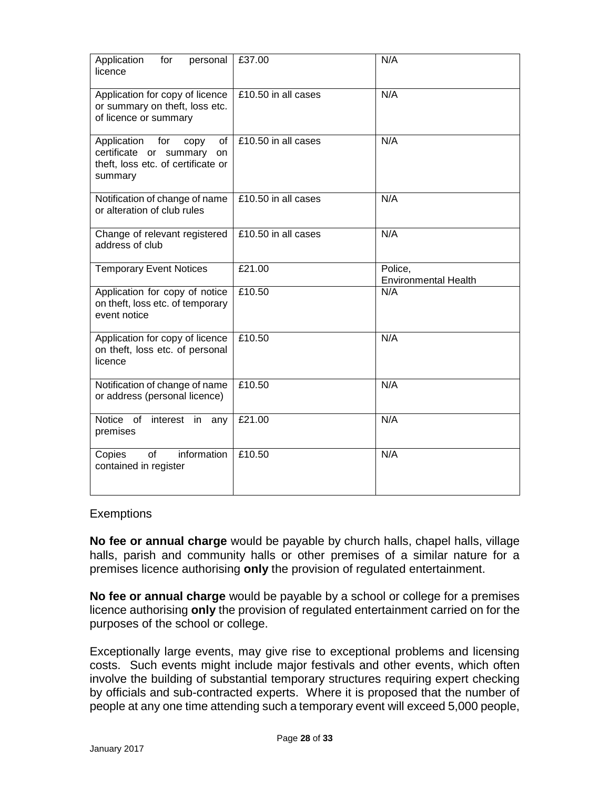| Application<br>for<br>personal<br>licence                                                                                | £37.00              | N/A                                    |
|--------------------------------------------------------------------------------------------------------------------------|---------------------|----------------------------------------|
| Application for copy of licence<br>or summary on theft, loss etc.<br>of licence or summary                               | £10.50 in all cases | N/A                                    |
| Application<br>for<br>οf<br>copy<br>certificate or summary<br><b>on</b><br>theft, loss etc. of certificate or<br>summary | £10.50 in all cases | N/A                                    |
| Notification of change of name<br>or alteration of club rules                                                            | £10.50 in all cases | N/A                                    |
| Change of relevant registered<br>address of club                                                                         | £10.50 in all cases | N/A                                    |
| <b>Temporary Event Notices</b>                                                                                           | £21.00              | Police,<br><b>Environmental Health</b> |
| Application for copy of notice<br>on theft, loss etc. of temporary<br>event notice                                       | £10.50              | N/A                                    |
| Application for copy of licence<br>on theft, loss etc. of personal<br>licence                                            | £10.50              | N/A                                    |
| Notification of change of name<br>or address (personal licence)                                                          | £10.50              | N/A                                    |
| Notice of<br>interest in<br>any<br>premises                                                                              | £21.00              | N/A                                    |
| information<br>of<br>Copies<br>contained in register                                                                     | £10.50              | N/A                                    |

#### **Exemptions**

**No fee or annual charge** would be payable by church halls, chapel halls, village halls, parish and community halls or other premises of a similar nature for a premises licence authorising **only** the provision of regulated entertainment.

**No fee or annual charge** would be payable by a school or college for a premises licence authorising **only** the provision of regulated entertainment carried on for the purposes of the school or college.

Exceptionally large events, may give rise to exceptional problems and licensing costs. Such events might include major festivals and other events, which often involve the building of substantial temporary structures requiring expert checking by officials and sub-contracted experts. Where it is proposed that the number of people at any one time attending such a temporary event will exceed 5,000 people,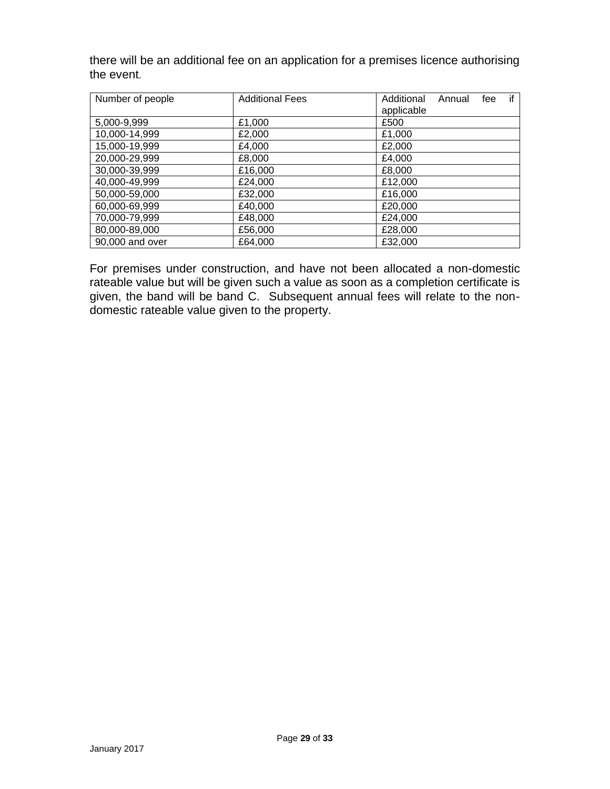there will be an additional fee on an application for a premises licence authorising the event.

| Number of people | <b>Additional Fees</b> | if<br>Additional<br>Annual<br>fee<br>applicable |
|------------------|------------------------|-------------------------------------------------|
| 5,000-9,999      | £1,000                 | £500                                            |
| 10,000-14,999    | £2,000                 | £1,000                                          |
| 15,000-19,999    | £4,000                 | £2,000                                          |
| 20,000-29,999    | £8,000                 | £4,000                                          |
| 30,000-39,999    | £16,000                | £8,000                                          |
| 40,000-49,999    | £24,000                | £12,000                                         |
| 50,000-59,000    | £32,000                | £16,000                                         |
| 60,000-69,999    | £40,000                | £20,000                                         |
| 70,000-79,999    | £48,000                | £24,000                                         |
| 80,000-89,000    | £56,000                | £28,000                                         |
| 90,000 and over  | £64.000                | £32,000                                         |

For premises under construction, and have not been allocated a non-domestic rateable value but will be given such a value as soon as a completion certificate is given, the band will be band C. Subsequent annual fees will relate to the nondomestic rateable value given to the property.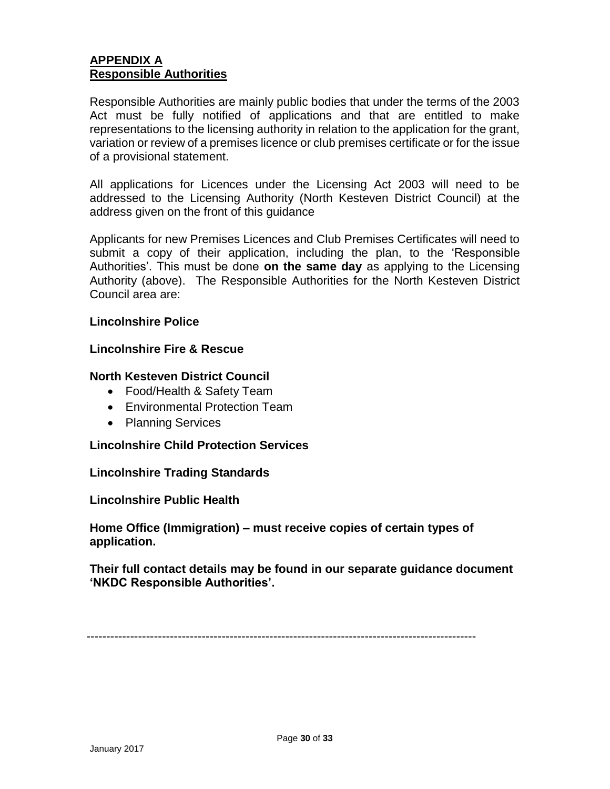#### **APPENDIX A Responsible Authorities**

Responsible Authorities are mainly public bodies that under the terms of the 2003 Act must be fully notified of applications and that are entitled to make representations to the licensing authority in relation to the application for the grant, variation or review of a premises licence or club premises certificate or for the issue of a provisional statement.

All applications for Licences under the Licensing Act 2003 will need to be addressed to the Licensing Authority (North Kesteven District Council) at the address given on the front of this guidance

Applicants for new Premises Licences and Club Premises Certificates will need to submit a copy of their application, including the plan, to the 'Responsible Authorities'. This must be done **on the same day** as applying to the Licensing Authority (above). The Responsible Authorities for the North Kesteven District Council area are:

#### **Lincolnshire Police**

#### **Lincolnshire Fire & Rescue**

#### **North Kesteven District Council**

- Food/Health & Safety Team
- Environmental Protection Team
- Planning Services

#### **Lincolnshire Child Protection Services**

#### **Lincolnshire Trading Standards**

#### **Lincolnshire Public Health**

**Home Office (Immigration) – must receive copies of certain types of application.** 

**Their full contact details may be found in our separate guidance document 'NKDC Responsible Authorities'.**

--------------------------------------------------------------------------------------------------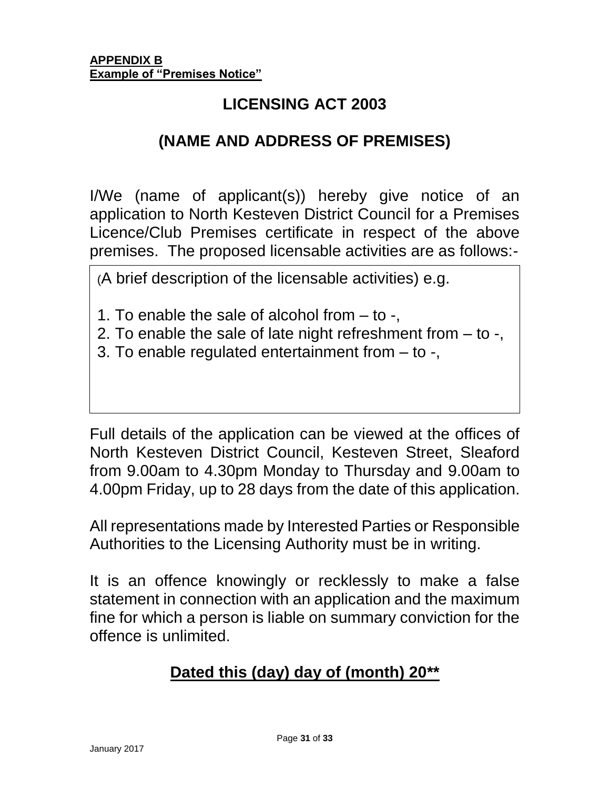## **LICENSING ACT 2003**

### **(NAME AND ADDRESS OF PREMISES)**

I/We (name of applicant(s)) hereby give notice of an application to North Kesteven District Council for a Premises Licence/Club Premises certificate in respect of the above premises. The proposed licensable activities are as follows:-

(A brief description of the licensable activities) e.g.

- 1. To enable the sale of alcohol from to -,
- 2. To enable the sale of late night refreshment from to -,
- 3. To enable regulated entertainment from to -,

Full details of the application can be viewed at the offices of North Kesteven District Council, Kesteven Street, Sleaford from 9.00am to 4.30pm Monday to Thursday and 9.00am to 4.00pm Friday, up to 28 days from the date of this application.

All representations made by Interested Parties or Responsible Authorities to the Licensing Authority must be in writing.

It is an offence knowingly or recklessly to make a false statement in connection with an application and the maximum fine for which a person is liable on summary conviction for the offence is unlimited.

# **Dated this (day) day of (month) 20\*\***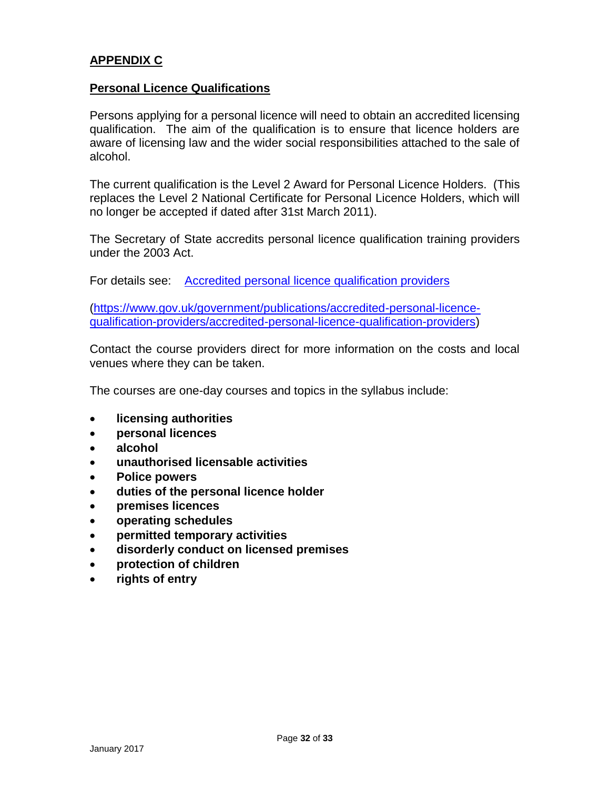#### **APPENDIX C**

#### **Personal Licence Qualifications**

Persons applying for a personal licence will need to obtain an accredited licensing qualification. The aim of the qualification is to ensure that licence holders are aware of licensing law and the wider social responsibilities attached to the sale of alcohol.

The current qualification is the Level 2 Award for Personal Licence Holders. (This replaces the Level 2 National Certificate for Personal Licence Holders, which will no longer be accepted if dated after 31st March 2011).

The Secretary of State accredits personal licence qualification training providers under the 2003 Act.

For details see: [Accredited personal licence qualification providers](https://www.gov.uk/government/publications/accredited-personal-licence-qualification-providers/accredited-personal-licence-qualification-providers)

[\(https://www.gov.uk/government/publications/accredited-personal-licence](https://www.gov.uk/government/publications/accredited-personal-licence-qualification-providers/accredited-personal-licence-qualification-providers)[qualification-providers/accredited-personal-licence-qualification-providers\)](https://www.gov.uk/government/publications/accredited-personal-licence-qualification-providers/accredited-personal-licence-qualification-providers)

Contact the course providers direct for more information on the costs and local venues where they can be taken.

The courses are one-day courses and topics in the syllabus include:

- **licensing authorities**
- **personal licences**
- **alcohol**
- **unauthorised licensable activities**
- **Police powers**
- **duties of the personal licence holder**
- **premises licences**
- **operating schedules**
- **permitted temporary activities**
- **disorderly conduct on licensed premises**
- **protection of children**
- **rights of entry**